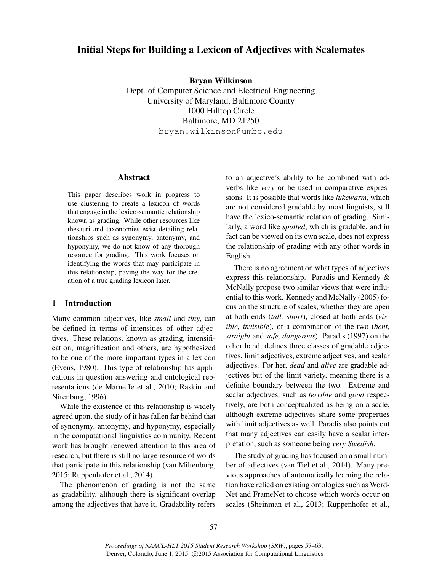# Initial Steps for Building a Lexicon of Adjectives with Scalemates

Bryan Wilkinson

Dept. of Computer Science and Electrical Engineering University of Maryland, Baltimore County 1000 Hilltop Circle Baltimore, MD 21250 bryan.wilkinson@umbc.edu

## Abstract

This paper describes work in progress to use clustering to create a lexicon of words that engage in the lexico-semantic relationship known as grading. While other resources like thesauri and taxonomies exist detailing relationships such as synonymy, antonymy, and hyponymy, we do not know of any thorough resource for grading. This work focuses on identifying the words that may participate in this relationship, paving the way for the creation of a true grading lexicon later.

### 1 Introduction

Many common adjectives, like *small* and *tiny*, can be defined in terms of intensities of other adjectives. These relations, known as grading, intensification, magnification and others, are hypothesized to be one of the more important types in a lexicon (Evens, 1980). This type of relationship has applications in question answering and ontological representations (de Marneffe et al., 2010; Raskin and Nirenburg, 1996).

While the existence of this relationship is widely agreed upon, the study of it has fallen far behind that of synonymy, antonymy, and hyponymy, especially in the computational linguistics community. Recent work has brought renewed attention to this area of research, but there is still no large resource of words that participate in this relationship (van Miltenburg, 2015; Ruppenhofer et al., 2014).

The phenomenon of grading is not the same as gradability, although there is significant overlap among the adjectives that have it. Gradability refers to an adjective's ability to be combined with adverbs like *very* or be used in comparative expressions. It is possible that words like *lukewarm*, which are not considered gradable by most linguists, still have the lexico-semantic relation of grading. Similarly, a word like *spotted*, which is gradable, and in fact can be viewed on its own scale, does not express the relationship of grading with any other words in English.

There is no agreement on what types of adjectives express this relationship. Paradis and Kennedy & McNally propose two similar views that were influential to this work. Kennedy and McNally (2005) focus on the structure of scales, whether they are open at both ends (*tall, short*), closed at both ends (*visible, invisible*), or a combination of the two (*bent, straight* and *safe, dangerous*). Paradis (1997) on the other hand, defines three classes of gradable adjectives, limit adjectives, extreme adjectives, and scalar adjectives. For her, *dead* and *alive* are gradable adjectives but of the limit variety, meaning there is a definite boundary between the two. Extreme and scalar adjectives, such as *terrible* and *good* respectively, are both conceptualized as being on a scale, although extreme adjectives share some properties with limit adjectives as well. Paradis also points out that many adjectives can easily have a scalar interpretation, such as someone being *very Swedish.*

The study of grading has focused on a small number of adjectives (van Tiel et al., 2014). Many previous approaches of automatically learning the relation have relied on existing ontologies such as Word-Net and FrameNet to choose which words occur on scales (Sheinman et al., 2013; Ruppenhofer et al.,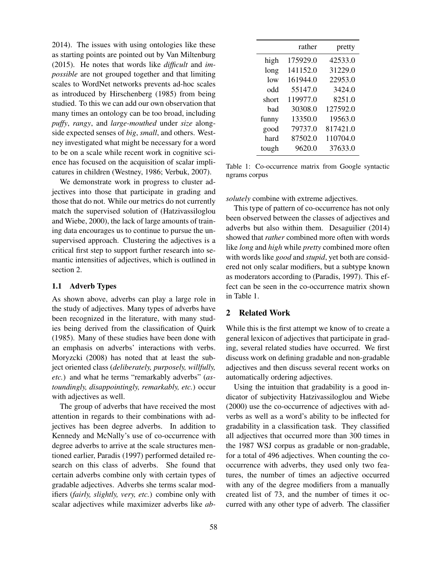2014). The issues with using ontologies like these as starting points are pointed out by Van Miltenburg (2015). He notes that words like *difficult* and *impossible* are not grouped together and that limiting scales to WordNet networks prevents ad-hoc scales as introduced by Hirschenberg (1985) from being studied. To this we can add our own observation that many times an ontology can be too broad, including *puffy*, *rangy*, and *large-mouthed* under *size* alongside expected senses of *big*, *small*, and others. Westney investigated what might be necessary for a word to be on a scale while recent work in cognitive science has focused on the acquisition of scalar implicatures in children (Westney, 1986; Verbuk, 2007).

We demonstrate work in progress to cluster adjectives into those that participate in grading and those that do not. While our metrics do not currently match the supervised solution of (Hatzivassiloglou and Wiebe, 2000), the lack of large amounts of training data encourages us to continue to pursue the unsupervised approach. Clustering the adjectives is a critical first step to support further research into semantic intensities of adjectives, which is outlined in section 2.

## 1.1 Adverb Types

As shown above, adverbs can play a large role in the study of adjectives. Many types of adverbs have been recognized in the literature, with many studies being derived from the classification of Quirk (1985). Many of these studies have been done with an emphasis on adverbs' interactions with verbs. Moryzcki (2008) has noted that at least the subject oriented class (*deliberately, purposely, willfully, etc.*) and what he terms "remarkably adverbs" (*astoundingly, disappointingly, remarkably, etc.*) occur with adjectives as well.

The group of adverbs that have received the most attention in regards to their combinations with adjectives has been degree adverbs. In addition to Kennedy and McNally's use of co-occurrence with degree adverbs to arrive at the scale structures mentioned earlier, Paradis (1997) performed detailed research on this class of adverbs. She found that certain adverbs combine only with certain types of gradable adjectives. Adverbs she terms scalar modifiers (*fairly, slightly, very, etc.*) combine only with scalar adjectives while maximizer adverbs like *ab-*

|       | rather   | pretty   |
|-------|----------|----------|
| high  | 175929.0 | 42533.0  |
| long  | 141152.0 | 31229.0  |
| low   | 161944.0 | 22953.0  |
| odd   | 55147.0  | 3424.0   |
| short | 119977.0 | 8251.0   |
| bad   | 30308.0  | 127592.0 |
| funny | 13350.0  | 19563.0  |
| good  | 79737.0  | 817421.0 |
| hard  | 87502.0  | 110704.0 |
| tough | 9620.0   | 37633.0  |

Table 1: Co-occurrence matrix from Google syntactic ngrams corpus

*solutely* combine with extreme adjectives.

This type of pattern of co-occurrence has not only been observed between the classes of adjectives and adverbs but also within them. Desaguilier (2014) showed that *rather* combined more often with words like *long* and *high* while *pretty* combined more often with words like *good* and *stupid*, yet both are considered not only scalar modifiers, but a subtype known as moderators according to (Paradis, 1997). This effect can be seen in the co-occurrence matrix shown in Table 1.

# 2 Related Work

While this is the first attempt we know of to create a general lexicon of adjectives that participate in grading, several related studies have occurred. We first discuss work on defining gradable and non-gradable adjectives and then discuss several recent works on automatically ordering adjectives.

Using the intuition that gradability is a good indicator of subjectivity Hatzivassiloglou and Wiebe (2000) use the co-occurrence of adjectives with adverbs as well as a word's ability to be inflected for gradability in a classification task. They classified all adjectives that occurred more than 300 times in the 1987 WSJ corpus as gradable or non-gradable, for a total of 496 adjectives. When counting the cooccurrence with adverbs, they used only two features, the number of times an adjective occurred with any of the degree modifiers from a manually created list of 73, and the number of times it occurred with any other type of adverb. The classifier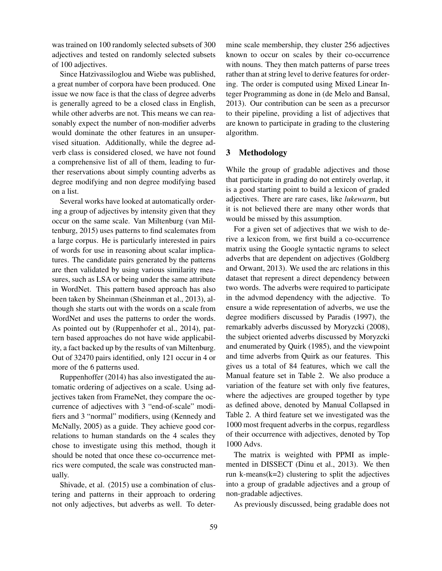was trained on 100 randomly selected subsets of 300 adjectives and tested on randomly selected subsets of 100 adjectives.

Since Hatzivassiloglou and Wiebe was published, a great number of corpora have been produced. One issue we now face is that the class of degree adverbs is generally agreed to be a closed class in English, while other adverbs are not. This means we can reasonably expect the number of non-modifier adverbs would dominate the other features in an unsupervised situation. Additionally, while the degree adverb class is considered closed, we have not found a comprehensive list of all of them, leading to further reservations about simply counting adverbs as degree modifying and non degree modifying based on a list.

Several works have looked at automatically ordering a group of adjectives by intensity given that they occur on the same scale. Van Miltenburg (van Miltenburg, 2015) uses patterns to find scalemates from a large corpus. He is particularly interested in pairs of words for use in reasoning about scalar implicatures. The candidate pairs generated by the patterns are then validated by using various similarity measures, such as LSA or being under the same attribute in WordNet. This pattern based approach has also been taken by Sheinman (Sheinman et al., 2013), although she starts out with the words on a scale from WordNet and uses the patterns to order the words. As pointed out by (Ruppenhofer et al., 2014), pattern based approaches do not have wide applicability, a fact backed up by the results of van Miltenburg. Out of 32470 pairs identified, only 121 occur in 4 or more of the 6 patterns used.

Ruppenhoffer (2014) has also investigated the automatic ordering of adjectives on a scale. Using adjectives taken from FrameNet, they compare the occurrence of adjectives with 3 "end-of-scale" modifiers and 3 "normal" modifiers, using (Kennedy and McNally, 2005) as a guide. They achieve good correlations to human standards on the 4 scales they chose to investigate using this method, though it should be noted that once these co-occurrence metrics were computed, the scale was constructed manually.

Shivade, et al. (2015) use a combination of clustering and patterns in their approach to ordering not only adjectives, but adverbs as well. To determine scale membership, they cluster 256 adjectives known to occur on scales by their co-occurrence with nouns. They then match patterns of parse trees rather than at string level to derive features for ordering. The order is computed using Mixed Linear Integer Programming as done in (de Melo and Bansal, 2013). Our contribution can be seen as a precursor to their pipeline, providing a list of adjectives that are known to participate in grading to the clustering algorithm.

### 3 Methodology

While the group of gradable adjectives and those that participate in grading do not entirely overlap, it is a good starting point to build a lexicon of graded adjectives. There are rare cases, like *lukewarm*, but it is not believed there are many other words that would be missed by this assumption.

For a given set of adjectives that we wish to derive a lexicon from, we first build a co-occurrence matrix using the Google syntactic ngrams to select adverbs that are dependent on adjectives (Goldberg and Orwant, 2013). We used the arc relations in this dataset that represent a direct dependency between two words. The adverbs were required to participate in the advmod dependency with the adjective. To ensure a wide representation of adverbs, we use the degree modifiers discussed by Paradis (1997), the remarkably adverbs discussed by Moryzcki (2008), the subject oriented adverbs discussed by Moryzcki and enumerated by Quirk (1985), and the viewpoint and time adverbs from Quirk as our features. This gives us a total of 84 features, which we call the Manual feature set in Table 2. We also produce a variation of the feature set with only five features, where the adjectives are grouped together by type as defined above, denoted by Manual Collapsed in Table 2. A third feature set we investigated was the 1000 most frequent adverbs in the corpus, regardless of their occurrence with adjectives, denoted by Top 1000 Advs.

The matrix is weighted with PPMI as implemented in DISSECT (Dinu et al., 2013). We then run k-means $(k=2)$  clustering to split the adjectives into a group of gradable adjectives and a group of non-gradable adjectives.

As previously discussed, being gradable does not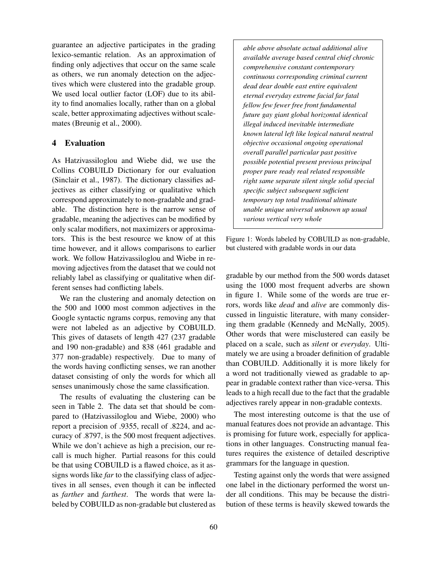guarantee an adjective participates in the grading lexico-semantic relation. As an approximation of finding only adjectives that occur on the same scale as others, we run anomaly detection on the adjectives which were clustered into the gradable group. We used local outlier factor (LOF) due to its ability to find anomalies locally, rather than on a global scale, better approximating adjectives without scalemates (Breunig et al., 2000).

## 4 Evaluation

As Hatzivassiloglou and Wiebe did, we use the Collins COBUILD Dictionary for our evaluation (Sinclair et al., 1987). The dictionary classifies adjectives as either classifying or qualitative which correspond approximately to non-gradable and gradable. The distinction here is the narrow sense of gradable, meaning the adjectives can be modified by only scalar modifiers, not maximizers or approximators. This is the best resource we know of at this time however, and it allows comparisons to earlier work. We follow Hatzivassiloglou and Wiebe in removing adjectives from the dataset that we could not reliably label as classifying or qualitative when different senses had conflicting labels.

We ran the clustering and anomaly detection on the 500 and 1000 most common adjectives in the Google syntactic ngrams corpus, removing any that were not labeled as an adjective by COBUILD. This gives of datasets of length 427 (237 gradable and 190 non-gradable) and 838 (461 gradable and 377 non-gradable) respectively. Due to many of the words having conflicting senses, we ran another dataset consisting of only the words for which all senses unanimously chose the same classification.

The results of evaluating the clustering can be seen in Table 2. The data set that should be compared to (Hatzivassiloglou and Wiebe, 2000) who report a precision of .9355, recall of .8224, and accuracy of .8797, is the 500 most frequent adjectives. While we don't achieve as high a precision, our recall is much higher. Partial reasons for this could be that using COBUILD is a flawed choice, as it assigns words like *far* to the classifying class of adjectives in all senses, even though it can be inflected as *farther* and *farthest*. The words that were labeled by COBUILD as non-gradable but clustered as

*able above absolute actual additional alive available average based central chief chronic comprehensive constant contemporary continuous corresponding criminal current dead dear double east entire equivalent eternal everyday extreme facial far fatal fellow few fewer free front fundamental future gay giant global horizontal identical illegal induced inevitable intermediate known lateral left like logical natural neutral objective occasional ongoing operational overall parallel particular past positive possible potential present previous principal proper pure ready real related responsible right same separate silent single solid special specific subject subsequent sufficient temporary top total traditional ultimate unable unique universal unknown up usual various vertical very whole*

Figure 1: Words labeled by COBUILD as non-gradable, but clustered with gradable words in our data

gradable by our method from the 500 words dataset using the 1000 most frequent adverbs are shown in figure 1. While some of the words are true errors, words like *dead* and *alive* are commonly discussed in linguistic literature, with many considering them gradable (Kennedy and McNally, 2005). Other words that were misclustered can easily be placed on a scale, such as *silent* or *everyday*. Ultimately we are using a broader definition of gradable than COBUILD. Additionally it is more likely for a word not traditionally viewed as gradable to appear in gradable context rather than vice-versa. This leads to a high recall due to the fact that the gradable adjectives rarely appear in non-gradable contexts.

The most interesting outcome is that the use of manual features does not provide an advantage. This is promising for future work, especially for applications in other languages. Constructing manual features requires the existence of detailed descriptive grammars for the language in question.

Testing against only the words that were assigned one label in the dictionary performed the worst under all conditions. This may be because the distribution of these terms is heavily skewed towards the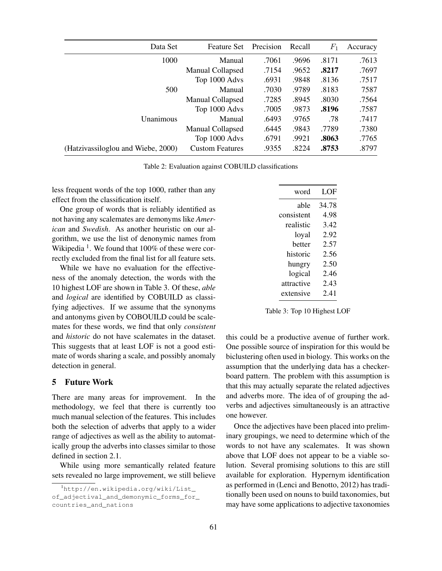| Data Set                           | <b>Feature Set</b>     | Precision | Recall | $F_1$ | Accuracy |
|------------------------------------|------------------------|-----------|--------|-------|----------|
| 1000                               | Manual                 | .7061     | .9696  | .8171 | .7613    |
|                                    | Manual Collapsed       | .7154     | .9652  | .8217 | .7697    |
|                                    | Top 1000 Advs          | .6931     | .9848  | .8136 | .7517    |
| 500                                | Manual                 | .7030     | .9789  | .8183 | 7587     |
|                                    | Manual Collapsed       | .7285     | .8945  | .8030 | .7564    |
|                                    | Top 1000 Advs          | .7005     | .9873  | .8196 | .7587    |
| Unanimous                          | Manual                 | .6493     | .9765  | .78   | .7417    |
|                                    | Manual Collapsed       | .6445     | .9843  | .7789 | .7380    |
|                                    | Top 1000 Advs          | .6791     | .9921  | .8063 | .7765    |
| (Hatzivassiloglou and Wiebe, 2000) | <b>Custom Features</b> | .9355     | .8224  | .8753 | .8797    |

Table 2: Evaluation against COBUILD classifications

less frequent words of the top 1000, rather than any effect from the classification itself.

One group of words that is reliably identified as not having any scalemates are demonyms like *American* and *Swedish*. As another heuristic on our algorithm, we use the list of denonymic names from Wikipedia  $<sup>1</sup>$ . We found that 100% of these were cor-</sup> rectly excluded from the final list for all feature sets.

While we have no evaluation for the effectiveness of the anomaly detection, the words with the 10 highest LOF are shown in Table 3. Of these, *able* and *logical* are identified by COBUILD as classifying adjectives. If we assume that the synonyms and antonyms given by COBOUILD could be scalemates for these words, we find that only *consistent* and *historic* do not have scalemates in the dataset. This suggests that at least LOF is not a good estimate of words sharing a scale, and possibly anomaly detection in general.

### 5 Future Work

There are many areas for improvement. In the methodology, we feel that there is currently too much manual selection of the features. This includes both the selection of adverbs that apply to a wider range of adjectives as well as the ability to automatically group the adverbs into classes similar to those defined in section 2.1.

While using more semantically related feature sets revealed no large improvement, we still believe

| word       | LOF   |
|------------|-------|
| able       | 34.78 |
| consistent | 4.98  |
| realistic  | 3.42  |
| loyal      | 2.92  |
| hetter     | 2.57  |
| historic   | 2.56  |
| hungry     | 2.50  |
| logical    | 2.46  |
| attractive | 2.43  |
| extensive  | 2.41  |

Table 3: Top 10 Highest LOF

this could be a productive avenue of further work. One possible source of inspiration for this would be biclustering often used in biology. This works on the assumption that the underlying data has a checkerboard pattern. The problem with this assumption is that this may actually separate the related adjectives and adverbs more. The idea of of grouping the adverbs and adjectives simultaneously is an attractive one however.

Once the adjectives have been placed into preliminary groupings, we need to determine which of the words to not have any scalemates. It was shown above that LOF does not appear to be a viable solution. Several promising solutions to this are still available for exploration. Hypernym identification as performed in (Lenci and Benotto, 2012) has traditionally been used on nouns to build taxonomies, but may have some applications to adjective taxonomies

<sup>1</sup>http://en.wikipedia.org/wiki/List\_ of\_adjectival\_and\_demonymic\_forms\_for\_ countries\_and\_nations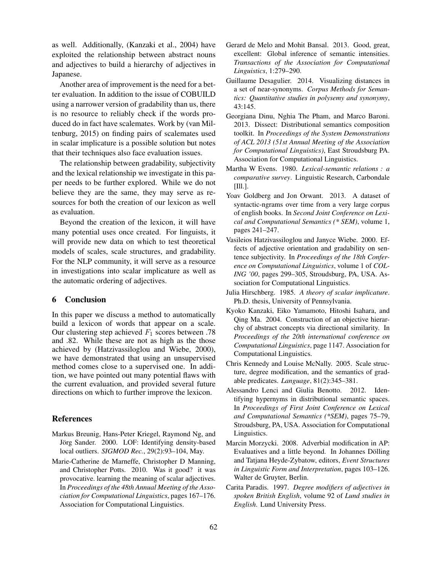as well. Additionally, (Kanzaki et al., 2004) have exploited the relationship between abstract nouns and adjectives to build a hierarchy of adjectives in Japanese.

Another area of improvement is the need for a better evaluation. In addition to the issue of COBUILD using a narrower version of gradability than us, there is no resource to reliably check if the words produced do in fact have scalemates. Work by (van Miltenburg, 2015) on finding pairs of scalemates used in scalar implicature is a possible solution but notes that their techniques also face evaluation issues.

The relationship between gradability, subjectivity and the lexical relationship we investigate in this paper needs to be further explored. While we do not believe they are the same, they may serve as resources for both the creation of our lexicon as well as evaluation.

Beyond the creation of the lexicon, it will have many potential uses once created. For linguists, it will provide new data on which to test theoretical models of scales, scale structures, and gradability. For the NLP community, it will serve as a resource in investigations into scalar implicature as well as the automatic ordering of adjectives.

#### 6 Conclusion

In this paper we discuss a method to automatically build a lexicon of words that appear on a scale. Our clustering step achieved  $F_1$  scores between .78 and .82. While these are not as high as the those achieved by (Hatzivassiloglou and Wiebe, 2000), we have demonstrated that using an unsupervised method comes close to a supervised one. In addition, we have pointed out many potential flaws with the current evaluation, and provided several future directions on which to further improve the lexicon.

#### References

- Markus Breunig, Hans-Peter Kriegel, Raymond Ng, and Jörg Sander. 2000. LOF: Identifying density-based local outliers. *SIGMOD Rec.*, 29(2):93–104, May.
- Marie-Catherine de Marneffe, Christopher D Manning, and Christopher Potts. 2010. Was it good? it was provocative. learning the meaning of scalar adjectives. In *Proceedings of the 48th Annual Meeting of the Association for Computational Linguistics*, pages 167–176. Association for Computational Linguistics.
- Gerard de Melo and Mohit Bansal. 2013. Good, great, excellent: Global inference of semantic intensities. *Transactions of the Association for Computational Linguistics*, 1:279–290.
- Guillaume Desagulier. 2014. Visualizing distances in a set of near-synonyms. *Corpus Methods for Semantics: Quantitative studies in polysemy and synonymy*, 43:145.
- Georgiana Dinu, Nghia The Pham, and Marco Baroni. 2013. Dissect: Distributional semantics composition toolkit. In *Proceedings of the System Demonstrations of ACL 2013 (51st Annual Meeting of the Association for Computational Linguistics)*, East Stroudsburg PA. Association for Computational Linguistics.
- Martha W Evens. 1980. *Lexical-semantic relations : a comparative survey*. Linguistic Research, Carbondale [Ill.].
- Yoav Goldberg and Jon Orwant. 2013. A dataset of syntactic-ngrams over time from a very large corpus of english books. In *Second Joint Conference on Lexical and Computational Semantics (\* SEM)*, volume 1, pages 241–247.
- Vasileios Hatzivassiloglou and Janyce Wiebe. 2000. Effects of adjective orientation and gradability on sentence subjectivity. In *Proceedings of the 18th Conference on Computational Linguistics*, volume 1 of *COL-ING '00*, pages 299–305, Stroudsburg, PA, USA. Association for Computational Linguistics.
- Julia Hirschberg. 1985. *A theory of scalar implicature*. Ph.D. thesis, University of Pennsylvania.
- Kyoko Kanzaki, Eiko Yamamoto, Hitoshi Isahara, and Qing Ma. 2004. Construction of an objective hierarchy of abstract concepts via directional similarity. In *Proceedings of the 20th international conference on Computational Linguistics*, page 1147. Association for Computational Linguistics.
- Chris Kennedy and Louise McNally. 2005. Scale structure, degree modification, and the semantics of gradable predicates. *Language*, 81(2):345–381.
- Alessandro Lenci and Giulia Benotto. 2012. Identifying hypernyms in distributional semantic spaces. In *Proceedings of First Joint Conference on Lexical and Computational Semantics (\*SEM)*, pages 75–79, Stroudsburg, PA, USA. Association for Computational Linguistics.
- Marcin Morzycki. 2008. Adverbial modification in AP: Evaluatives and a little beyond. In Johannes Dölling and Tatjana Heyde-Zybatow, editors, *Event Structures in Linguistic Form and Interpretation*, pages 103–126. Walter de Gruyter, Berlin.
- Carita Paradis. 1997. *Degree modifiers of adjectives in spoken British English*, volume 92 of *Lund studies in English*. Lund University Press.